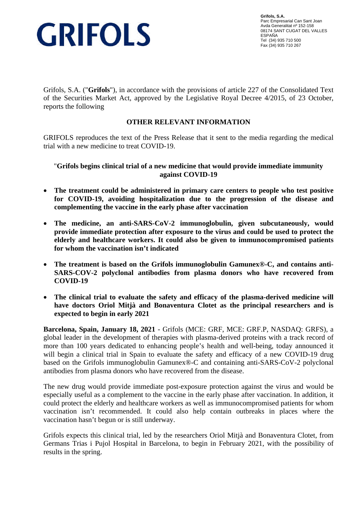

**Grifols, S.A.** Parc Empresarial Can Sant Joan Avda Generalitat nº 152-158 08174 SANT CUGAT DEL VALLES ESPAÑA Tel (34) 935 710 500 Fax (34) 935 710 267

Grifols, S.A. ("**Grifols**"), in accordance with the provisions of article 227 of the Consolidated Text of the Securities Market Act, approved by the Legislative Royal Decree 4/2015, of 23 October, reports the following

## **OTHER RELEVANT INFORMATION**

GRIFOLS reproduces the text of the Press Release that it sent to the media regarding the medical trial with a new medicine to treat COVID-19.

"**Grifols begins clinical trial of a new medicine that would provide immediate immunity against COVID-19**

- **The treatment could be administered in primary care centers to people who test positive for COVID-19, avoiding hospitalization due to the progression of the disease and complementing the vaccine in the early phase after vaccination**
- **The medicine, an anti-SARS-CoV-2 immunoglobulin, given subcutaneously, would provide immediate protection after exposure to the virus and could be used to protect the elderly and healthcare workers. It could also be given to immunocompromised patients for whom the vaccination isn't indicated**
- **The treatment is based on the Grifols immunoglobulin Gamunex®-C, and contains anti-SARS-COV-2 polyclonal antibodies from plasma donors who have recovered from COVID-19**
- **The clinical trial to evaluate the safety and efficacy of the plasma-derived medicine will have doctors Oriol Mitjà and Bonaventura Clotet as the principal researchers and is expected to begin in early 2021**

**Barcelona, Spain, January 18, 2021** - Grifols (MCE: GRF, MCE: GRF.P, NASDAQ: GRFS), a global leader in the development of therapies with plasma-derived proteins with a track record of more than 100 years dedicated to enhancing people's health and well-being, today announced it will begin a clinical trial in Spain to evaluate the safety and efficacy of a new COVID-19 drug based on the Grifols immunoglobulin Gamunex®-C and containing anti-SARS-CoV-2 polyclonal antibodies from plasma donors who have recovered from the disease.

The new drug would provide immediate post-exposure protection against the virus and would be especially useful as a complement to the vaccine in the early phase after vaccination. In addition, it could protect the elderly and healthcare workers as well as immunocompromised patients for whom vaccination isn't recommended. It could also help contain outbreaks in places where the vaccination hasn't begun or is still underway.

Grifols expects this clinical trial, led by the researchers Oriol Mitjà and Bonaventura Clotet, from Germans Trias i Pujol Hospital in Barcelona, to begin in February 2021, with the possibility of results in the spring.